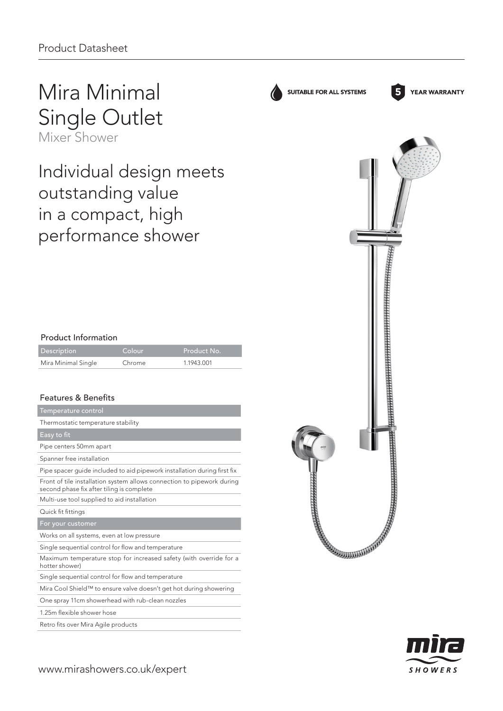# Mira Minimal Single Outlet

Mixer Shower

Individual design meets outstanding value in a compact, high performance shower

## Product Information

| <b>Description</b>  | Colour | Product No. |
|---------------------|--------|-------------|
| Mira Minimal Single | Chrome | 1.1943.001  |

## Features & Benefits

| Temperature control                                                                                                 |
|---------------------------------------------------------------------------------------------------------------------|
| Thermostatic temperature stability                                                                                  |
| Easy to fit                                                                                                         |
| Pipe centers 50mm apart                                                                                             |
| Spanner free installation                                                                                           |
| Pipe spacer guide included to aid pipework installation during first fix                                            |
| Front of tile installation system allows connection to pipework during<br>second phase fix after tiling is complete |
| Multi-use tool supplied to aid installation                                                                         |
| Quick fit fittings                                                                                                  |
| For your customer                                                                                                   |
| Works on all systems, even at low pressure                                                                          |
| Single sequential control for flow and temperature                                                                  |
| Maximum temperature stop for increased safety (with override for a<br>hotter shower)                                |
| Single sequential control for flow and temperature                                                                  |
| Mira Cool Shield™ to ensure valve doesn't get hot during showering                                                  |
| One spray 11cm showerhead with rub-clean nozzles                                                                    |
| 1.25m flexible shower hose                                                                                          |

Retro fits over Mira Agile products